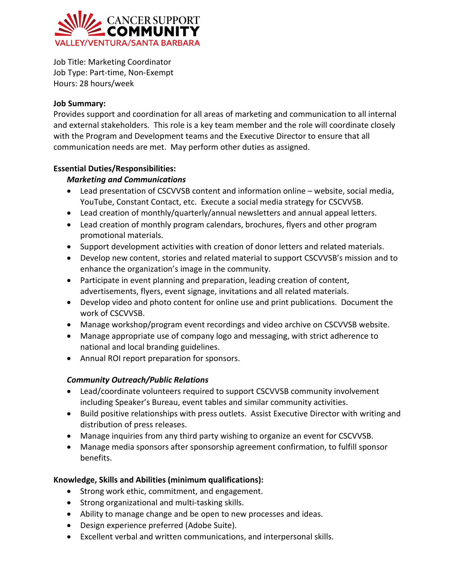

Job Title: Marketing Coordinator Job Type: Part-time, Non-Exempt Hours: 28 hours/week

## **Job Summary:**

Provides support and coordination for all areas of marketing and communication to all internal and external stakeholders. This role is a key team member and the role will coordinate closely with the Program and Development teams and the Executive Director to ensure that all communication needs are met. May perform other duties as assigned.

# **Essential Duties/Responsibilities:**

# *Marketing and Communications*

- Lead presentation of CSCVVSB content and information online website, social media, YouTube, Constant Contact, etc. Execute a social media strategy for CSCVVSB.
- Lead creation of monthly/quarterly/annual newsletters and annual appeal letters.
- Lead creation of monthly program calendars, brochures, flyers and other program promotional materials.
- Support development activities with creation of donor letters and related materials.
- Develop new content, stories and related material to support CSCVVSB's mission and to enhance the organization's image in the community.
- Participate in event planning and preparation, leading creation of content, advertisements, flyers, event signage, invitations and all related materials.
- Develop video and photo content for online use and print publications. Document the work of CSCVVSB.
- Manage workshop/program event recordings and video archive on CSCVVSB website.
- Manage appropriate use of company logo and messaging, with strict adherence to national and local branding guidelines.
- Annual ROI report preparation for sponsors.

# *Community Outreach/Public Relations*

- Lead/coordinate volunteers required to support CSCVVSB community involvement including Speaker's Bureau, event tables and similar community activities.
- Build positive relationships with press outlets. Assist Executive Director with writing and distribution of press releases.
- Manage inquiries from any third party wishing to organize an event for CSCVVSB.
- Manage media sponsors after sponsorship agreement confirmation, to fulfill sponsor benefits.

# **Knowledge, Skills and Abilities (minimum qualifications):**

- Strong work ethic, commitment, and engagement.
- Strong organizational and multi-tasking skills.
- Ability to manage change and be open to new processes and ideas.
- Design experience preferred (Adobe Suite).
- Excellent verbal and written communications, and interpersonal skills.